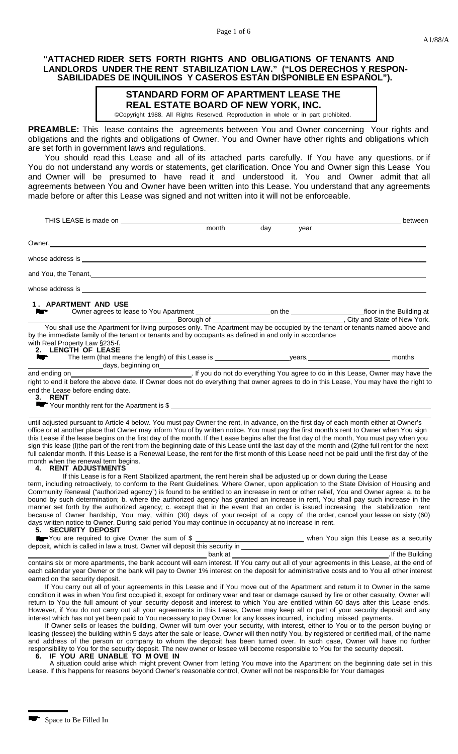## **"ATTACHED RIDER SETS FORTH RIGHTS AND OBLIGATIONS OF TENANTS AND LANDLORDS UNDER THE RENT STABILIZATION LAW." ("LOS DERECHOS Y RESPON-SABILIDADES DE INQUILINOS Y CASEROS ESTÁN DISPONIBLE EN ESPAÑOL").**

## **STANDARD FORM OF APARTMENT LEASE THE REAL ESTATE BOARD OF NEW YORK, INC.**

©Copyright 1988. All Rights Reserved. Reproduction in whole or in part prohibited.

**PREAMBLE:** This lease contains the agreements between You and Owner concerning Your rights and obligations and the rights and obligations of Owner. You and Owner have other rights and obligations which are set forth in government laws and regulations.

You should read this Lease and all of its attached parts carefully. If You have any questions, or if You do not understand any words or statements, get clarification. Once You and Owner sign this Lease You and Owner will be presumed to have read it and understood it. You and Owner admit that all agreements between You and Owner have been written into this Lease. You understand that any agreements made before or after this Lease was signed and not written into it will not be enforceable.

| THIS LEASE is made on                                                                                                                                                                                                                                                                                                             |       |     |      | between |  |
|-----------------------------------------------------------------------------------------------------------------------------------------------------------------------------------------------------------------------------------------------------------------------------------------------------------------------------------|-------|-----|------|---------|--|
|                                                                                                                                                                                                                                                                                                                                   | month | day | year |         |  |
| Owner,_                                                                                                                                                                                                                                                                                                                           |       |     |      |         |  |
|                                                                                                                                                                                                                                                                                                                                   |       |     |      |         |  |
| and You, the Tenant, the Contract of the Contract of the Contract of the Contract of the Contract of the Contract of the Contract of the Contract of the Contract of the Contract of the Contract of the Contract of the Contr                                                                                                    |       |     |      |         |  |
|                                                                                                                                                                                                                                                                                                                                   |       |     |      |         |  |
| 1. APARTMENT AND USE                                                                                                                                                                                                                                                                                                              |       |     |      |         |  |
|                                                                                                                                                                                                                                                                                                                                   |       |     |      |         |  |
|                                                                                                                                                                                                                                                                                                                                   |       |     |      |         |  |
| You shall use the Apartment for living purposes only. The Apartment may be occupied by the tenant or tenants named above and<br>by the immediate family of the tenant or tenants and by occupants as defined in and only in accordance<br>with Real Property Law §235-f.<br>2. LENGTH OF LEASE                                    |       |     |      |         |  |
|                                                                                                                                                                                                                                                                                                                                   |       |     |      |         |  |
|                                                                                                                                                                                                                                                                                                                                   |       |     |      |         |  |
| days, beginning on<br>Let you do not do everything You agree to do in this Lease, Owner may have the<br>right to end it before the above date. If Owner does not do everything that owner agrees to do in this Lease, You may have                                                                                                |       |     |      |         |  |
|                                                                                                                                                                                                                                                                                                                                   |       |     |      |         |  |
| end the Lease before ending date.<br>3. RENT                                                                                                                                                                                                                                                                                      |       |     |      |         |  |
| $\blacktriangleright$ Your monthly rent for the Apartment is $\frac{1}{2}$ $\ldots$ $\ldots$ $\ldots$ $\ldots$ $\ldots$ $\ldots$ $\ldots$ $\ldots$ $\ldots$ $\ldots$ $\ldots$ $\ldots$ $\ldots$ $\ldots$ $\ldots$ $\ldots$ $\ldots$ $\ldots$ $\ldots$ $\ldots$ $\ldots$ $\ldots$ $\ldots$ $\ldots$ $\ldots$ $\ldots$ $\ldots$ $\$ |       |     |      |         |  |
| until adjusted pursuant to Article 4 below. You must pay Owner the rent, in advance, on the first day of each month either at Owner's                                                                                                                                                                                             |       |     |      |         |  |
| office or at another place that Owner may inform You of by written notice. You must pay the first month's rent to Owner when You sign                                                                                                                                                                                             |       |     |      |         |  |
| this Lease if the lease begins on the first day of the month. If the Lease begins after the first day of the month, You must pay when you                                                                                                                                                                                         |       |     |      |         |  |
| sign this lease (I)the part of the rent from the beginning date of this Lease until the last day of the month and (2)the full rent for the next                                                                                                                                                                                   |       |     |      |         |  |
| full calendar month. If this Lease is a Renewal Lease, the rent for the first month of this Lease need not be paid until the first day of the                                                                                                                                                                                     |       |     |      |         |  |
| month when the renewal term begins.<br><b>4. RENT ADJUSTMENTS</b>                                                                                                                                                                                                                                                                 |       |     |      |         |  |
| If this Lease is for a Rent Stabilized apartment, the rent herein shall be adjusted up or down during the Lease                                                                                                                                                                                                                   |       |     |      |         |  |
| term, including retroactively, to conform to the Rent Guidelines. Where Owner, upon application to the State Division of Housing and                                                                                                                                                                                              |       |     |      |         |  |
| Community Renewal ("authorized agency") is found to be entitled to an increase in rent or other relief, You and Owner agree: a. to be                                                                                                                                                                                             |       |     |      |         |  |
| bound by such determination; b. where the authorized agency has granted an increase in rent, You shall pay such increase in the                                                                                                                                                                                                   |       |     |      |         |  |
| manner set forth by the authorized agency; c. except that in the event that an order is issued increasing the stabilization rent<br>because of Owner hardship, You may, within (30) days of your receipt of a copy of the order, cancel your lease on sixty (60)                                                                  |       |     |      |         |  |
| days written notice to Owner. During said period You may continue in occupancy at no increase in rent.                                                                                                                                                                                                                            |       |     |      |         |  |

## **5. SECURITY DEPOSIT**

| <b>Note You are required to give Owner the sum of \$</b>                     | when You sign this Lease as a security |
|------------------------------------------------------------------------------|----------------------------------------|
| deposit, which is called in law a trust. Owner will deposit this security in |                                        |

bank at **. If the Building** contains six or more apartments, the bank account will earn interest. If You carry out all of your agreements in this Lease, at the end of each calendar year Owner or the bank will pay to Owner 1% interest on the deposit for administrative costs and to You all other interest earned on the security deposit.

If You carry out all of your agreements in this Lease and if You move out of the Apartment and return it to Owner in the same condition it was in when You first occupied it, except for ordinary wear and tear or damage caused by fire or other casualty, Owner will return to You the full amount of your security deposit and interest to which You are entitled within 60 days after this Lease ends. However, if You do not carry out all your agreements in this Lease, Owner may keep all or part of your security deposit and any interest which has not yet been paid to You necessary to pay Owner for any losses incurred, including missed payments.

If Owner sells or leases the building, Owner will turn over your security, with interest, either to You or to the person buying or leasing (lessee) the building within 5 days after the sale or lease. Owner will then notify You, by registered or certified mail, of the name and address of the person or company to whom the deposit has been turned over. In such case, Owner will have no further responsibility to You for the security deposit. The new owner or lessee will become responsible to You for the security deposit.

#### **6. IF YOU ARE UNABLE TO M OVE IN**

A situation could arise which might prevent Owner from letting You move into the Apartment on the beginning date set in this Lease. If this happens for reasons beyond Owner's reasonable control, Owner will not be responsible for Your damages

Space to Be Filled In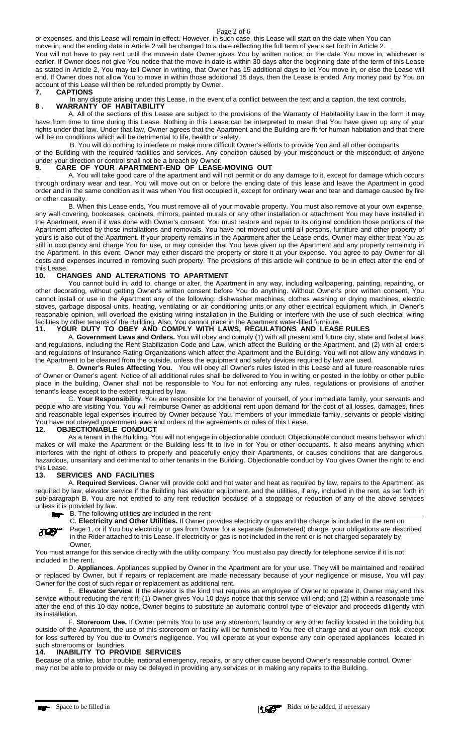#### Page 2 of 6

or expenses, and this Lease will remain in effect. However, in such case, this Lease will start on the date when You can

move in, and the ending date in Article 2 will be changed to a date reflecting the full term of years set forth in Article 2.

You will not have to pay rent until the move-in date Owner gives You by written notice, or the date You move in, whichever is earlier. If Owner does not give You notice that the move-in date is within 30 days after the beginning date of the term of this Lease as stated in Article 2, You may tell Owner in writing, that Owner has 15 additional days to let You move in, or else the Lease will end. If Owner does not allow You to move in within those additional 15 days, then the Lease is ended. Any money paid by You on account of this Lease will then be refunded promptly by Owner.<br>7. CAPTIONS

#### **7. CAPTIONS**

In any dispute arising under this Lease, in the event of a conflict between the text and a caption, the text controls. **8 . WARRANTY OF HABITABILITY**

A. All of the sections of this Lease are subject to the provisions of the Warranty of Habitability Law in the form it may have from time to time during this Lease. Nothing in this Lease can be interpreted to mean that You have given up any of your rights under that law. Under that law, Owner agrees that the Apartment and the Building are fit for human habitation and that there will be no conditions which will be detrimental to life, health or safety.

B. You will do nothing to interfere or make more difficult Owner's efforts to provide You and all other occupants

of the Building with the required facilities and services. Any condition caused by your misconduct or the misconduct of anyone under your direction or control shall not be a breach by Owner.<br>9. CARE OF YOUR APARTMENT-FND OF LEASE

## **9. CARE OF YOUR APARTMENT-END OF LEASE-MOVING OUT**

A. You will take good care of the apartment and will not permit or do any damage to it, except for damage which occurs through ordinary wear and tear. You will move out on or before the ending date of this lease and leave the Apartment in good order and in the same condition as it was when You first occupied it, except for ordinary wear and tear and damage caused by fire or other casualty.

B. When this Lease ends, You must remove all of your movable property. You must also remove at your own expense, any wall covering, bookcases, cabinets, mirrors, painted murals or any other installation or attachment You may have installed in the Apartment, even if it was done with Owner's consent. You must restore and repair to its original condition those portions of the Apartment affected by those installations and removals. You have not moved out until all persons, furniture and other property of yours is also out of the Apartment. If your property remains in the Apartment after the Lease ends, Owner may either treat You as still in occupancy and charge You for use, or may consider that You have given up the Apartment and any property remaining in the Apartment. In this event, Owner may either discard the property or store it at your expense. You agree to pay Owner for all costs and expenses incurred in removing such property. The provisions of this article will continue to be in effect after the end of this Lease.

## **10. CHANGES AND ALTERATIONS TO APARTMENT**

You cannot build in, add to, change or alter, the Apartment in any way, including wallpapering, painting, repainting, or other decorating, without getting Owner's written consent before You do anything. Without Owner's prior written consent, You cannot install or use in the Apartment any of the following: dishwasher machines, clothes washing or drying machines, electric stoves, garbage disposal units, heating, ventilating or air conditioning units or any other electrical equipment which, in Owner's reasonable opinion, will overload the existing wiring installation in the Building or interfere with the use of such electrical wiring facilities by other tenants of the Building. Also, You cannot place in the Apartment water-filled furniture.

#### **11. YOUR DUTY TO OBEY AND COMPLY WITH LAWS, REGULATIONS AND LEASE RULES**

A. **Government Laws and Orders.** You will obey and comply (1) with all present and future city, state and federal laws and regulations, including the Rent Stabilization Code and Law, which affect the Building or the Apartment, and (2) with all orders and regulations of Insurance Rating Organizations which affect the Apartment and the Building. You will not allow any windows in the Apartment to be cleaned from the outside, unless the equipment and safety devices required by law are used.

B. **Owner's Rules Affecting You.** You will obey all Owner's rules listed in this Lease and all future reasonable rules of Owner or Owner's agent. Notice of all additional rules shall be delivered to You in writing or posted in the lobby or other public place in the building, Owner shall not be responsible to You for not enforcing any rules, regulations or provisions of another tenant's lease except to the extent required by law.

C. **Your Responsibility**. You are responsible for the behavior of yourself, of your immediate family, your servants and people who are visiting You. You will reimburse Owner as additional rent upon demand for the cost of all losses, damages, fines and reasonable legal expenses incurred by Owner because You, members of your immediate family, servants or people visiting You have not obeyed government laws and orders of the agreements or rules of this Lease.

#### **12. OBJECTIONABLE CONDUCT**

As a tenant in the Building, You will not engage in objectionable conduct. Objectionable conduct means behavior which makes or will make the Apartment or the Building less fit to live in for You or other occupants. It also means anything which interferes with the right of others to properly and peacefully enjoy their Apartments, or causes conditions that are dangerous, hazardous, unsanitary and detrimental to other tenants in the Building. Objectionable conduct by You gives Owner the right to end this Lease.

## **13. SERVICES AND FACILITIES**

A. **Required Services.** Owner will provide cold and hot water and heat as required by law, repairs to the Apartment, as required by law, elevator service if the Building has elevator equipment, and the utilities, if any, included in the rent, as set forth in sub-paragraph B. You are not entitled to any rent reduction because of a stoppage or reduction of any of the above services unless it is provided by law.

B. The following utilities are included in the rent

C. **Electricity and Other Utilities.** If Owner provides electricity or gas and the charge is included in the rent on

Page 1, or if You buy electricity or gas from Owner for a separate (submetered) charge, your obligations are described **JES** in the Rider attached to this Lease. If electricity or gas is not included in the rent or is not charged separately by Owner,

You must arrange for this service directly with the utility company. You must also pay directly for telephone service if it is not included in the rent.

D. **Appliances**. Appliances supplied by Owner in the Apartment are for your use. They will be maintained and repaired or replaced by Owner, but if repairs or replacement are made necessary because of your negligence or misuse, You will pay Owner for the cost of such repair or replacement as additional rent.

E. **Elevator Service**. If the elevator is the kind that requires an employee of Owner to operate it, Owner may end this service without reducing the rent if: (1) Owner gives You 10 days notice that this service will end; and (2) within a reasonable time after the end of this 10-day notice, Owner begins to substitute an automatic control type of elevator and proceeds diligently with its installation.

F. **Storeroom Use.** If Owner permits You to use any storeroom, laundry or any other facility located in the building but outside of the Apartment, the use of this storeroom or facility will be furnished to You free of charge and at your own risk, except for loss suffered by You due to Owner's negligence. You will operate at your expense any coin operated appliances located in such storerooms or laundries.

#### **14. INABILITY TO PROVIDE SERVICES**

Because of a strike, labor trouble, national emergency, repairs, or any other cause beyond Owner's reasonable control, Owner may not be able to provide or may be delayed in providing any services or in making any repairs to the Building.



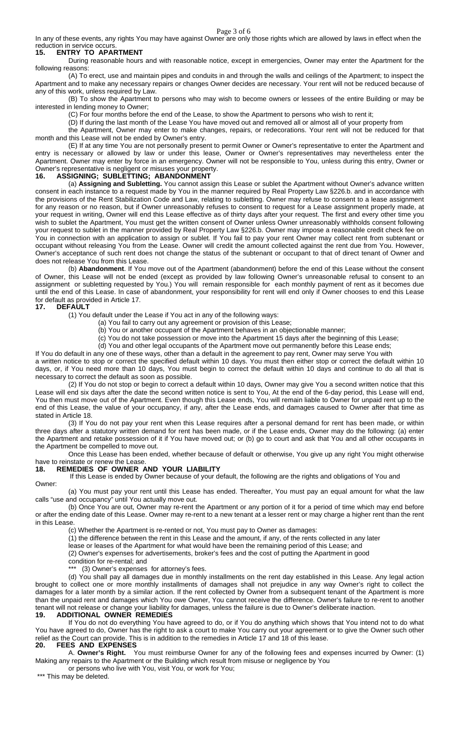Page 3 of 6

In any of these events, any rights You may have against Owner are only those rights which are allowed by laws in effect when the reduction in service occurs.

#### **15. ENTRY TO APARTMENT**

During reasonable hours and with reasonable notice, except in emergencies, Owner may enter the Apartment for the following reasons:

(A) To erect, use and maintain pipes and conduits in and through the walls and ceilings of the Apartment; to inspect the Apartment and to make any necessary repairs or changes Owner decides are necessary. Your rent will not be reduced because of any of this work, unless required by Law.

(B) To show the Apartment to persons who may wish to become owners or lessees of the entire Building or may be interested in lending money to Owner;

(C) For four months before the end of the Lease, to show the Apartment to persons who wish to rent it;

(D) If during the last month of the Lease You have moved out and removed all or almost all of your property from

the Apartment, Owner may enter to make changes, repairs, or redecorations. Your rent will not be reduced for that month and this Lease will not be ended by Owner's entry.

(E) If at any time You are not personally present to permit Owner or Owner's representative to enter the Apartment and entry is necessary or allowed by law or under this lease, Owner or Owner's representatives may nevertheless enter the Apartment. Owner may enter by force in an emergency. Owner will not be responsible to You, unless during this entry, Owner or Owner's representative is negligent or misuses your property.

## **16. ASSIGNING; SUBLETTING; ABANDONMENT**

(a) **Assigning and Subletting.** You cannot assign this Lease or sublet the Apartment without Owner's advance written consent in each instance to a request made by You in the manner required by Real Property Law §226.b. and in accordance with the provisions of the Rent Stabilization Code and Law, relating to subletting. Owner may refuse to consent to a lease assignment for any reason or no reason, but if Owner unreasonably refuses to consent to request for a Lease assignment properly made, at your request in writing, Owner will end this Lease effective as of thirty days after your request. The first and every other time you wish to sublet the Apartment, You must get the written consent of Owner unless Owner unreasonably withholds consent following your request to sublet in the manner provided by Real Property Law §226.b. Owner may impose a reasonable credit check fee on You in connection with an application to assign or sublet. If You fail to pay your rent Owner may collect rent from subtenant or occupant without releasing You from the Lease. Owner will credit the amount collected against the rent due from You. However, Owner's acceptance of such rent does not change the status of the subtenant or occupant to that of direct tenant of Owner and does not release You from this Lease.

(b) **Abandonment**. If You move out of the Apartment (abandonment) before the end of this Lease without the consent of Owner, this Lease will not be ended (except as provided by law following Owner's unreasonable refusal to consent to an assignment or subletting requested by You.) You will remain responsible for each monthly payment of rent as it becomes due until the end of this Lease. In case of abandonment, your responsibility for rent will end only if Owner chooses to end this Lease for default as provided in Article 17.

## **17. DEFAULT**

(1) You default under the Lease if You act in any of the following ways:

- (a) You fail to carry out any agreement or provision of this Lease;
- (b) You or another occupant of the Apartment behaves in an objectionable manner;
- (c) You do not take possession or move into the Apartment 15 days after the beginning of this Lease;
- (d) You and other legal occupants of the Apartment move out permanently before this Lease ends;

If You do default in any one of these ways, other than a default in the agreement to pay rent, Owner may serve You with a written notice to stop or correct the specified default within 10 days. You must then either stop or correct the default within 10 days, or, if You need more than 10 days, You must begin to correct the default within 10 days and continue to do all that is necessary to correct the default as soon as possible.

(2) If You do not stop or begin to correct a default within 10 days, Owner may give You a second written notice that this Lease will end six days after the date the second written notice is sent to You, At the end of the 6-day period, this Lease will end, You then must move out of the Apartment. Even though this Lease ends, You will remain liable to Owner for unpaid rent up to the end of this Lease, the value of your occupancy, if any, after the Lease ends, and damages caused to Owner after that time as stated in Article 18.

(3) If You do not pay your rent when this Lease requires after a personal demand for rent has been made, or within three days after a statutory written demand for rent has been made, or if the Lease ends, Owner may do the following: (a) enter the Apartment and retake possession of it if You have moved out; or (b) go to court and ask that You and all other occupants in the Apartment be compelled to move out.

Once this Lease has been ended, whether because of default or otherwise, You give up any right You might otherwise have to reinstate or renew the Lease.

## **18. REMEDIES OF OWNER AND YOUR LIABILITY**

If this Lease is ended by Owner because of your default, the following are the rights and obligations of You and Owner:

(a) You must pay your rent until this Lease has ended. Thereafter, You must pay an equal amount for what the law calls "use and occupancy" until You actually move out.

(b) Once You are out, Owner may re-rent the Apartment or any portion of it for a period of time which may end before or after the ending date of this Lease. Owner may re-rent to a new tenant at a lesser rent or may charge a higher rent than the rent in this Lease.

(c) Whether the Apartment is re-rented or not, You must pay to Owner as damages:

(1) the difference between the rent in this Lease and the amount, if any, of the rents collected in any later

lease or leases of the Apartment for what would have been the remaining period of this Lease; and

(2) Owner's expenses for advertisements, broker's fees and the cost of putting the Apartment in good

condition for re-rental; and

(3) Owner's expenses for attorney's fees.

(d) You shall pay all damages due in monthly installments on the rent day established in this Lease. Any legal action brought to collect one or more monthly installments of damages shall not prejudice in any way Owner's right to collect the damages for a later month by a similar action. If the rent collected by Owner from a subsequent tenant of the Apartment is more than the unpaid rent and damages which You owe Owner, You cannot receive the difference. Owner's failure to re-rent to another tenant will not release or change your liability for damages, unless the failure is due to Owner's deliberate inaction.

#### **19. ADDITIONAL OWNER REMEDIES**

If You do not do everything You have agreed to do, or if You do anything which shows that You intend not to do what You have agreed to do, Owner has the right to ask a court to make You carry out your agreement or to give the Owner such other relief as the Court can provide. This is in addition to the remedies in Article 17 and 18 of this lease.

## **20. FEES AND EXPENSES**

A. **Owner's Right.** You must reimburse Owner for any of the following fees and expenses incurred by Owner: (1) Making any repairs to the Apartment or the Building which result from misuse or negligence by You

or persons who live with You, visit You, or work for You;

\*\*\* This may be deleted.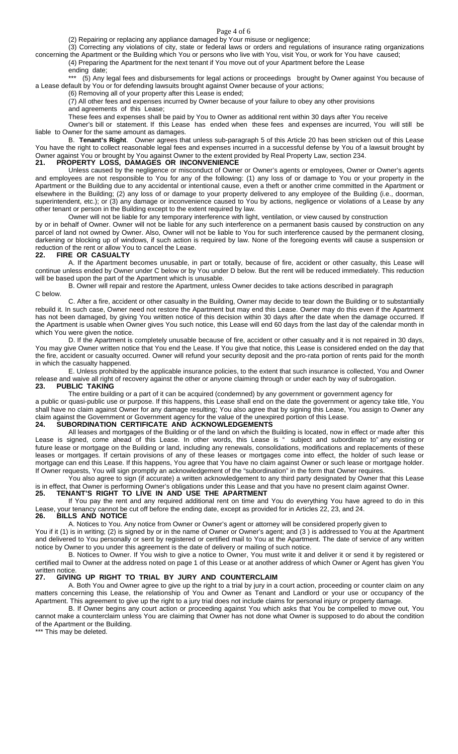#### Page 4 of 6

(2) Repairing or replacing any appliance damaged by Your misuse or negligence;

(3) Correcting any violations of city, state or federal laws or orders and regulations of insurance rating organizations concerning the Apartment or the Building which You or persons who live with You, visit You, or work for You have caused;

(4) Preparing the Apartment for the next tenant if You move out of your Apartment before the Lease

ending date;

\*\*\* (5) Any legal fees and disbursements for legal actions or proceedings brought by Owner against You because of a Lease default by You or for defending lawsuits brought against Owner because of your actions;

(6) Removing all of your property after this Lease is ended;

(7) All other fees and expenses incurred by Owner because of your failure to obey any other provisions

and agreements of this Lease; These fees and expenses shall be paid by You to Owner as additional rent within 30 days after You receive

Owner's bill or statement. If this Lease has ended when these fees and expenses are incurred, You will still be liable to Owner for the same amount as damages.

B. **Tenant's Right**. Owner agrees that unless sub-paragraph 5 of this Article 20 has been stricken out of this Lease You have the right to collect reasonable legal fees and expenses incurred in a successful defense by You of a lawsuit brought by Owner against You or brought by You against Owner to the extent provided by Real Property Law, section 234.<br>21. PROPERTY LOSS, DAMAGES OR INCONVENIENCE **21. PROPERTY LOSS, DAMAGES OR INCONVENIENCE**

Unless caused by the negligence or misconduct of Owner or Owner's agents or employees, Owner or Owner's agents and employees are not responsible to You for any of the following: (1) any loss of or damage to You or your property in the Apartment or the Building due to any accidental or intentional cause, even a theft or another crime committed in the Apartment or elsewhere in the Building; (2) any loss of or damage to your property delivered to any employee of the Building (i.e., doorman, superintendent, etc.); or (3) any damage or inconvenience caused to You by actions, negligence or violations of a Lease by any other tenant or person in the Building except to the extent required by law.

Owner will not be liable for any temporary interference with light, ventilation, or view caused by construction

by or in behalf of Owner. Owner will not be liable for any such interference on a permanent basis caused by construction on any parcel of land not owned by Owner. Also, Owner will not be liable to You for such interference caused by the permanent closing, darkening or blocking up of windows, if such action is required by law. None of the foregoing events will cause a suspension or reduction of the rent or allow You to cancel the Lease.

#### **22. FIRE OR CASUALTY**

A. If the Apartment becomes unusable, in part or totally, because of fire, accident or other casualty, this Lease will continue unless ended by Owner under C below or by You under D below. But the rent will be reduced immediately. This reduction will be based upon the part of the Apartment which is unusable.

B. Owner will repair and restore the Apartment, unless Owner decides to take actions described in paragraph C below.

C. After a fire, accident or other casualty in the Building, Owner may decide to tear down the Building or to substantially rebuild it. In such case, Owner need not restore the Apartment but may end this Lease. Owner may do this even if the Apartment has not been damaged, by giving You written notice of this decision within 30 days after the date when the damage occurred. If the Apartment is usable when Owner gives You such notice, this Lease will end 60 days from the last day of the calendar month in which You were given the notice.

D. If the Apartment is completely unusable because of fire, accident or other casualty and it is not repaired in 30 days, You may give Owner written notice that You end the Lease. If You give that notice, this Lease is considered ended on the day that the fire, accident or casualty occurred. Owner will refund your security deposit and the pro-rata portion of rents paid for the month in which the casualty happened.

E. Unless prohibited by the applicable insurance policies, to the extent that such insurance is collected, You and Owner release and waive all right of recovery against the other or anyone claiming through or under each by way of subrogation.<br>23. PUBLIC TAKING **23. PUBLIC TAKING**

The entire building or a part of it can be acquired (condemned) by any government or government agency for

a public or quasi-public use or purpose. If this happens, this Lease shall end on the date the government or agency take title, You shall have no claim against Owner for any damage resulting; You also agree that by signing this Lease, You assign to Owner any claim against the Government or Government agency for the value of the unexpired portion of this Lease.

#### **24. SUBORDINATION CERTIFICATE AND ACKNOWLEDGEMENTS**

All leases and mortgages of the Building or of the land on which the Building is located, now in effect or made after this Lease is signed, come ahead of this Lease. In other words, this Lease is " subject and subordinate to" any existing or future lease or mortgage on the Building or land, including any renewals, consolidations, modifications and replacements of these leases or mortgages. If certain provisions of any of these leases or mortgages come into effect, the holder of such lease or mortgage can end this Lease. If this happens, You agree that You have no claim against Owner or such lease or mortgage holder. If Owner requests, You will sign promptly an acknowledgement of the "subordination" in the form that Owner requires.

You also agree to sign (if accurate) a written acknowledgement to any third party designated by Owner that this Lease is in effect, that Owner is performing Owner's obligations under this Lease and that you have no present claim against Owner. **25. TENANT'S RIGHT TO LIVE IN AND USE THE APARTMENT**

If You pay the rent and any required additional rent on time and You do everything You have agreed to do in this Lease, your tenancy cannot be cut off before the ending date, except as provided for in Articles 22, 23, and 24.

#### **26. BILLS AND NOTICE**

A. Notices to You. Any notice from Owner or Owner's agent or attorney will be considered properly given to

You if it (1) is in writing; (2) is signed by or in the name of Owner or Owner's agent; and (3) is addressed to You at the Apartment and delivered to You personally or sent by registered or certified mail to You at the Apartment. The date of service of any written notice by Owner to you under this agreement is the date of delivery or mailing of such notice.

B. Notices to Owner. If You wish to give a notice to Owner, You must write it and deliver it or send it by registered or certified mail to Owner at the address noted on page 1 of this Lease or at another address of which Owner or Agent has given You written notice.<br>27. **GIVIN** 

#### **27. GIVING UP RIGHT TO TRIAL BY JURY AND COUNTERCLAIM**

A. Both You and Owner agree to give up the right to a trial by jury in a court action, proceeding or counter claim on any matters concerning this Lease, the relationship of You and Owner as Tenant and Landlord or your use or occupancy of the Apartment. This agreement to give up the right to a jury trial does not include claims for personal injury or property damage.

B. If Owner begins any court action or proceeding against You which asks that You be compelled to move out, You cannot make a counterclaim unless You are claiming that Owner has not done what Owner is supposed to do about the condition of the Apartment or the Building.

\*\*\* This may be deleted.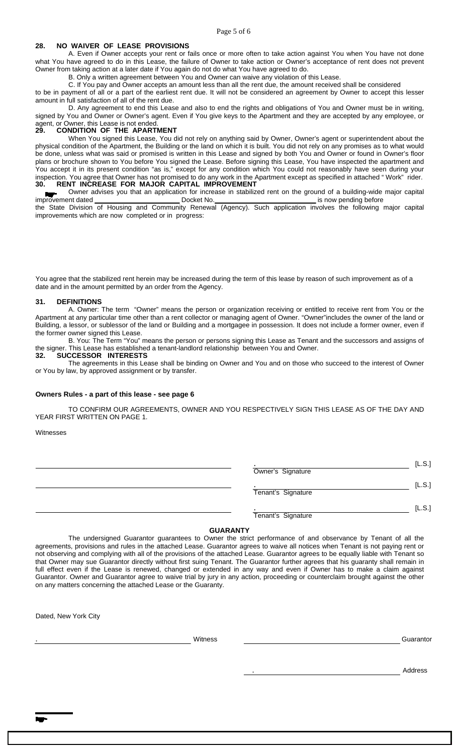#### Page 5 of 6

## **28. NO WAIVER OF LEASE PROVISIONS**

A. Even if Owner accepts your rent or fails once or more often to take action against You when You have not done what You have agreed to do in this Lease, the failure of Owner to take action or Owner's acceptance of rent does not prevent Owner from taking action at a later date if You again do not do what You have agreed to do.

B. Only a written agreement between You and Owner can waive any violation of this Lease.

C. If You pay and Owner accepts an amount less than all the rent due, the amount received shall be considered

to be in payment of all or a part of the earliest rent due. It will not be considered an agreement by Owner to accept this lesser amount in full satisfaction of all of the rent due.

D. Any agreement to end this Lease and also to end the rights and obligations of You and Owner must be in writing, signed by You and Owner or Owner's agent. Even if You give keys to the Apartment and they are accepted by any employee, or agent, or Owner, this Lease is not ended.

#### **29. CONDITION OF THE APARTMENT**

When You signed this Lease, You did not rely on anything said by Owner, Owner's agent or superintendent about the physical condition of the Apartment, the Building or the land on which it is built. You did not rely on any promises as to what would be done, unless what was said or promised is written in this Lease and signed by both You and Owner or found in Owner's floor plans or brochure shown to You before You signed the Lease. Before signing this Lease, You have inspected the apartment and You accept it in its present condition "as is," except for any condition which You could not reasonably have seen during your inspection. You agree that Owner has not promised to do any work in the Apartment except as specified in attached " Work" rider. **30. RENT INCREASE FOR MAJOR CAPITAL IMPROVEMENT**

Owner advises you that an application for increase in stabilized rent on the ground of a building-wide major capital<br>
Docket No.<br>
Docket No.<br>
Docket No. Docket No. 1880 Contract Docket No. 2010 Contract and Docket No. 2010 Contract Docket No. 2010

the State Division of Housing and Community Renewal (Agency). Such application involves the following major capital improvements which are now completed or in progress:

You agree that the stabilized rent herein may be increased during the term of this lease by reason of such improvement as of a date and in the amount permitted by an order from the Agency.

#### **31. DEFINITIONS**

A. Owner: The term "Owner" means the person or organization receiving or entitled to receive rent from You or the Apartment at any particular time other than a rent collector or managing agent of Owner. "Owner"includes the owner of the land or Building, a lessor, or sublessor of the land or Building and a mortgagee in possession. It does not include a former owner, even if the former owner signed this Lease.

B. You: The Term "You" means the person or persons signing this Lease as Tenant and the successors and assigns of the signer. This Lease has established a tenant-landlord relationship between You and Owner.

## **32. SUCCESSOR INTERESTS**

The agreements in this Lease shall be binding on Owner and You and on those who succeed to the interest of Owner or You by law, by approved assignment or by transfer.

#### **Owners Rules - a part of this lease - see page 6**

TO CONFIRM OUR AGREEMENTS, OWNER AND YOU RESPECTIVELY SIGN THIS LEASE AS OF THE DAY AND YEAR FIRST WRITTEN ON PAGE 1.

#### Witnesses

| Owner's Signature  | [L.S.] |
|--------------------|--------|
| Tenant's Signature | [L.S.] |
| Tenant's Signature | [L.S.] |

## **GUARANTY**

The undersigned Guarantor guarantees to Owner the strict performance of and observance by Tenant of all the agreements, provisions and rules in the attached Lease. Guarantor agrees to waive all notices when Tenant is not paying rent or not observing and complying with all of the provisions of the attached Lease. Guarantor agrees to be equally liable with Tenant so that Owner may sue Guarantor directly without first suing Tenant. The Guarantor further agrees that his guaranty shall remain in full effect even if the Lease is renewed, changed or extended in any way and even if Owner has to make a claim against Guarantor. Owner and Guarantor agree to waive trial by jury in any action, proceeding or counterclaim brought against the other on any matters concerning the attached Lease or the Guaranty.

Dated, New York City

extending the Microsoft Contract of Microsoft Contract Contract Contract Contract Contract Contract Contract Contract Contract Contract Contract Contract Contract Contract Contract Contract Contract Contract Contract Contr

. Address

**kar**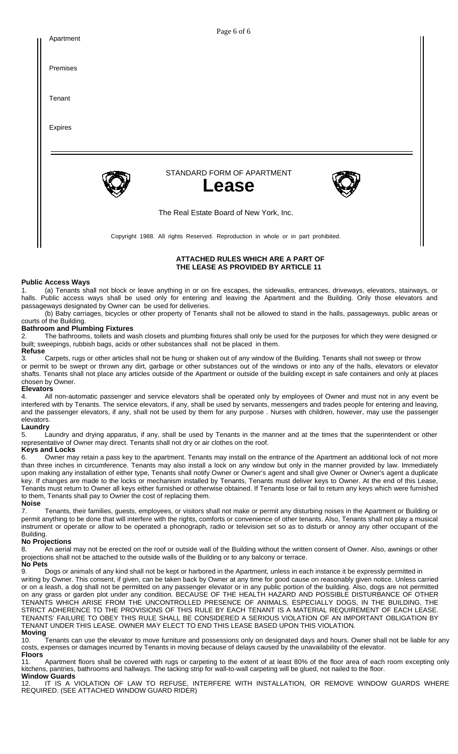| Apartment | rage o or o                                                                       |
|-----------|-----------------------------------------------------------------------------------|
| Premises  |                                                                                   |
| Tenant    |                                                                                   |
| Expires   |                                                                                   |
|           |                                                                                   |
|           | STANDARD FORM OF APARTMENT<br><b>Lease</b>                                        |
|           | The Real Estate Board of New York, Inc.                                           |
|           | Copyright 1988. All rights Reserved. Reproduction in whole or in part prohibited. |

Page 6 of 6

## **ATTACHED RULES WHICH ARE A PART OF THE LEASE AS PROVIDED BY ARTICLE 11**

#### **Public Access Ways**

1. (a) Tenants shall not block or leave anything in or on fire escapes, the sidewalks, entrances, driveways, elevators, stairways, or halls. Public access ways shall be used only for entering and leaving the Apartment and the Building. Only those elevators and passageways designated by Owner can be used for deliveries.

(b) Baby carriages, bicycles or other property of Tenants shall not be allowed to stand in the halls, passageways, public areas or courts of the Building.

#### **Bathroom and Plumbing Fixtures**

The bathrooms, toilets and wash closets and plumbing fixtures shall only be used for the purposes for which they were designed or built; sweepings, rubbish bags, acids or other substances shall not be placed in them.

**Refuse** Carpets, rugs or other articles shall not be hung or shaken out of any window of the Building. Tenants shall not sweep or throw

or permit to be swept or thrown any dirt, garbage or other substances out of the windows or into any of the halls, elevators or elevator shafts. Tenants shall not place any articles outside of the Apartment or outside of the building except in safe containers and only at places chosen by Owner.

## **Elevators**

4. All non-automatic passenger and service elevators shall be operated only by employees of Owner and must not in any event be interfered with by Tenants. The service elevators, if any, shall be used by servants, messengers and trades people for entering and leaving, and the passenger elevators, if any, shall not be used by them for any purpose . Nurses with children, however, may use the passenger elevators.

#### **Laundry**

5. Laundry and drying apparatus, if any, shall be used by Tenants in the manner and at the times that the superintendent or other representative of Owner may direct. Tenants shall not dry or air clothes on the roof.

## **Keys and Locks**

6. Owner may retain a pass key to the apartment. Tenants may install on the entrance of the Apartment an additional lock of not more than three inches in circumference. Tenants may also install a lock on any window but only in the manner provided by law. Immediately upon making any installation of either type, Tenants shall notify Owner or Owner's agent and shall give Owner or Owner's agent a duplicate key. If changes are made to the locks or mechanism installed by Tenants, Tenants must deliver keys to Owner. At the end of this Lease, Tenants must return to Owner all keys either furnished or otherwise obtained. If Tenants lose or fail to return any keys which were furnished to them, Tenants shall pay to Owner the cost of replacing them. **Noise**

7. Tenants, their families, guests, employees, or visitors shall not make or permit any disturbing noises in the Apartment or Building or permit anything to be done that will interfere with the rights, comforts or convenience of other tenants. Also, Tenants shall not play a musical instrument or operate or allow to be operated a phonograph, radio or television set so as to disturb or annoy any other occupant of the Building.

## **No Projections**

8. An aerial may not be erected on the roof or outside wall of the Building without the written consent of Owner. Also, awnings or other projections shall not be attached to the outside walls of the Building or to any balcony or terrace.

**No Pets**

9. Dogs or animals of any kind shall not be kept or harbored in the Apartment, unless in each instance it be expressly permitted in writing by Owner. This consent, if given, can be taken back by Owner at any time for good cause on reasonably given notice. Unless carried or on a leash, a dog shall not be permitted on any passenger elevator or in any public portion of the building. Also, dogs are not permitted on any grass or garden plot under any condition. BECAUSE OF THE HEALTH HAZARD AND POSSIBLE DISTURBANCE OF OTHER TENANTS WHICH ARISE FROM THE UNCONTROLLED PRESENCE OF ANIMALS, ESPECIALLY DOGS, IN THE BUILDING, THE STRICT ADHERENCE TO THE PROVISIONS OF THIS RULE BY EACH TENANT IS A MATERIAL REQUIREMENT OF EACH LEASE. TENANTS' FAILURE TO OBEY THIS RULE SHALL BE CONSIDERED A SERIOUS VIOLATION OF AN IMPORTANT OBLIGATION BY TENANT UNDER THIS LEASE. OWNER MAY ELECT TO END THIS LEASE BASED UPON THIS VIOLATION.

**Moving**<br>10. Tenants can use the elevator to move furniture and possessions only on designated days and hours. Owner shall not be liable for any costs, expenses or damages incurred by Tenants in moving because of delays caused by the unavailability of the elevator. **Floors**

11. Apartment floors shall be covered with rugs or carpeting to the extent of at least 80% of the floor area of each room excepting only kitchens, pantries, bathrooms and hallways. The tacking strip for wall-to-wall carpeting will be glued, not nailed to the floor. **Window Guards**

12. IT IS A VIOLATION OF LAW TO REFUSE, INTERFERE WITH INSTALLATION, OR REMOVE WINDOW GUARDS WHERE REQUIRED. (SEE ATTACHED WINDOW GUARD RIDER)